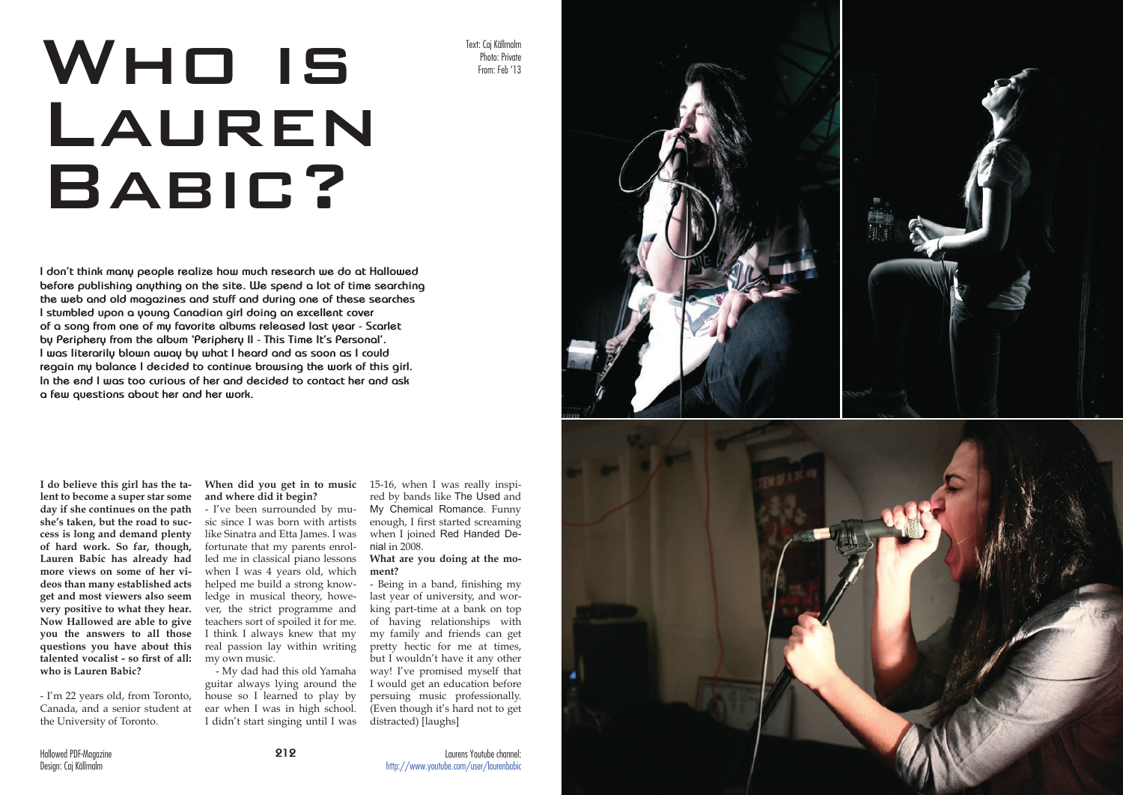# Who is LAUREN BABIC?



**I don't think many people realize how much research we do at Hallowed before publishing anything on the site. We spend a lot of time searching the web and old magazines and stuff and during one of these searches I stumbled upon a young Canadian girl doing an excellent cover of a song from one of my favorite albums released last year - Scarlet by Periphery from the album 'Periphery II - This Time It's Personal'. I was literarily blown away by what I heard and as soon as I could regain my balance I decided to continue browsing the work of this girl. In the end I was too curious of her and decided to contact her and ask a few questions about her and her work.**

**I do believe this girl has the ta lent to become a super star some day if she continues on the path she's taken, but the road to suc cess is long and demand plenty of hard work. So far, though, Lauren Babic has already had more views on some of her vi deos than many established acts get and most viewers also seem very positive to what they hear. Now Hallowed are able to give you the answers to all those questions you have about this talented vocalist - so first of all: who is Lauren Babic?**

- I'm 22 years old, from Toronto, Canada, and a senior student at the University of Toronto.

**When did you get in to music**  15-16, when I was really inspi **and where did it begin?**

- I've been surrounded by mu sic since I was born with artists like Sinatra and Etta James. I was fortunate that my parents enrol led me in classical piano lessons when I was 4 years old, which helped me build a strong know ledge in musical theory, howe ver, the strict programme and teachers sort of spoiled it for me. I think I always knew that my real passion lay within writing my own music.

- My dad had this old Yamaha guitar always lying around the house so I learned to play by ear when I was in high school. I didn't start singing until I was

red by bands like The Used and My Chemical Romance. Funny enough, I first started screaming when I joined Red Handed Denial in 2008.

### **What are you doing at the mo ment?**

- Being in a band, finishing my last year of university, and wor king part-time at a bank on top of having relationships with my family and friends can get pretty hectic for me at times, but I wouldn't have it any other way! I've promised myself that I would get an education before persuing music professionally. (Even though it's hard not to get distracted) [laughs]

Text: Caj Källmalm Photo: Private From: Feb '13

Laurens Youtube channel: http://www.youtube.com/user/laurenbabic